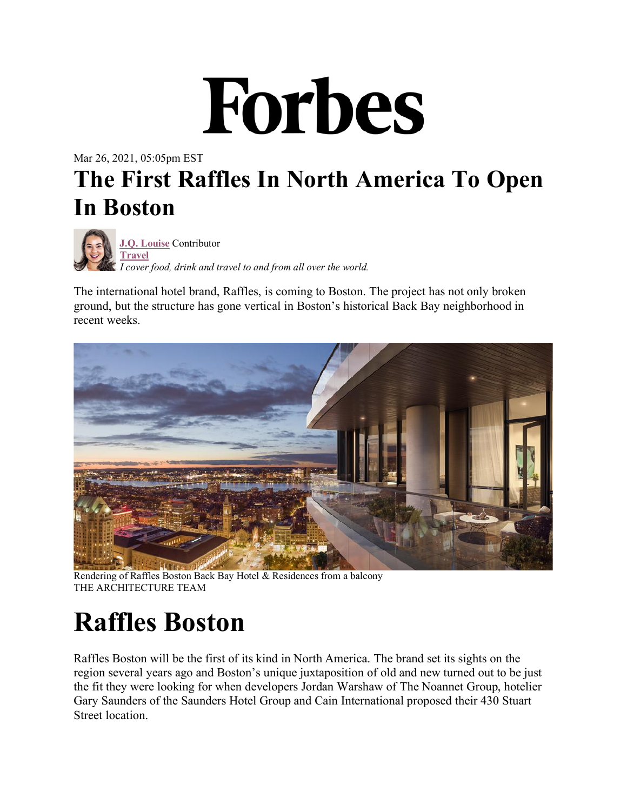

Mar 26, 2021, 05:05pm EST

## **The First Raffles In North America To Open In Boston**

 **J.Q. Louise** Contributor  **Travel**  *I cover food, drink and travel to and from all over the world.*

The international hotel brand, Raffles, is coming to Boston. The project has not only broken ground, but the structure has gone vertical in Boston's historical Back Bay neighborhood in recent weeks.



Rendering of Raffles Boston Back Bay Hotel & Residences from a balcony THE ARCHITECTURE TEAM

## **Raffles Boston**

Raffles Boston will be the first of its kind in North America. The brand set its sights on the region several years ago and Boston's unique juxtaposition of old and new turned out to be just the fit they were looking for when developers Jordan Warshaw of The Noannet Group, hotelier Gary Saunders of the Saunders Hotel Group and Cain International proposed their 430 Stuart Street location.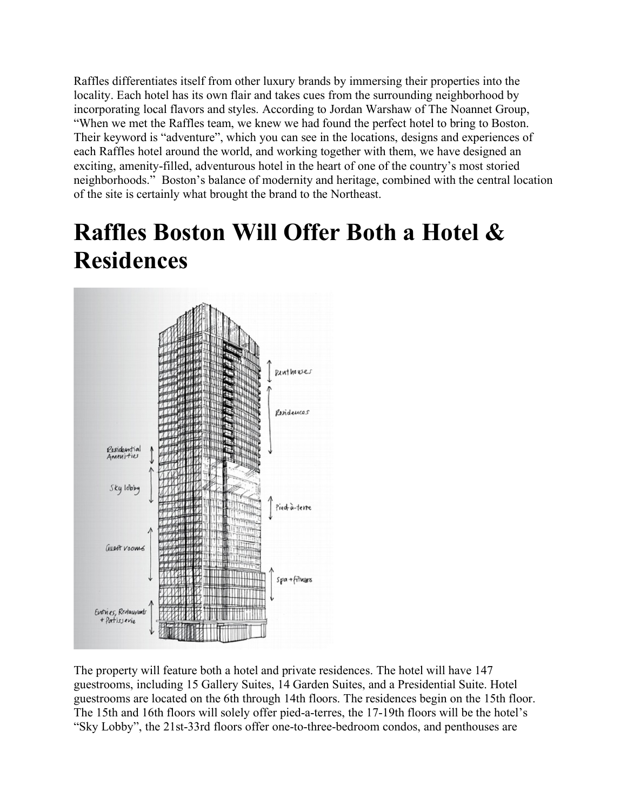Raffles differentiates itself from other luxury brands by immersing their properties into the locality. Each hotel has its own flair and takes cues from the surrounding neighborhood by incorporating local flavors and styles. According to Jordan Warshaw of The Noannet Group, "When we met the Raffles team, we knew we had found the perfect hotel to bring to Boston. Their keyword is "adventure", which you can see in the locations, designs and experiences of each Raffles hotel around the world, and working together with them, we have designed an exciting, amenity-filled, adventurous hotel in the heart of one of the country's most storied neighborhoods." Boston's balance of modernity and heritage, combined with the central location of the site is certainly what brought the brand to the Northeast.

## **Raffles Boston Will Offer Both a Hotel & Residences**



The property will feature both a hotel and private residences. The hotel will have 147 guestrooms, including 15 Gallery Suites, 14 Garden Suites, and a Presidential Suite. Hotel guestrooms are located on the 6th through 14th floors. The residences begin on the 15th floor. The 15th and 16th floors will solely offer pied-a-terres, the 17-19th floors will be the hotel's "Sky Lobby", the 21st-33rd floors offer one-to-three-bedroom condos, and penthouses are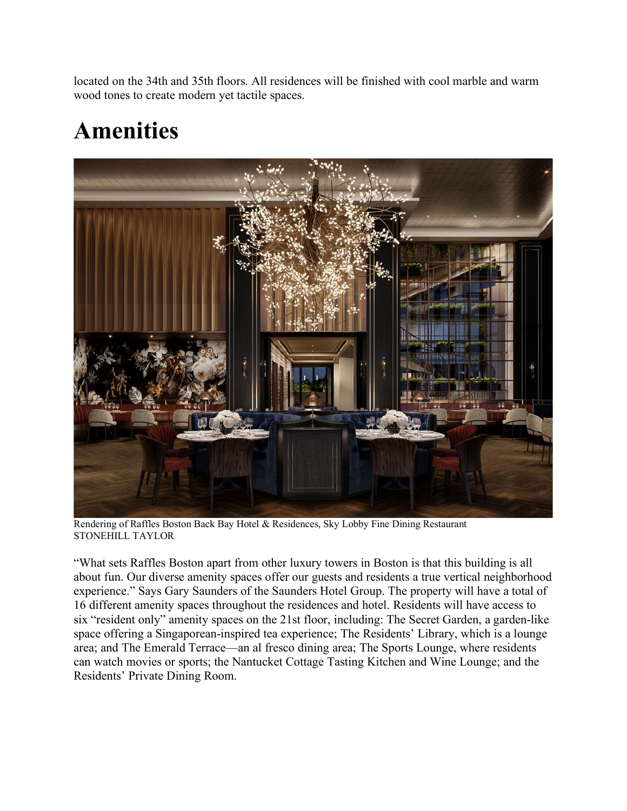located on the 34th and 35th floors. All residences will be finished with cool marble and warm wood tones to create modern yet tactile spaces.

## **Amenities**



Rendering of Raffles Boston Back Bay Hotel & Residences, Sky Lobby Fine Dining Restaurant STONEHILL TAYLOR

"What sets Raffles Boston apart from other luxury towers in Boston is that this building is all about fun. Our diverse amenity spaces offer our guests and residents a true vertical neighborhood experience." Says Gary Saunders of the Saunders Hotel Group. The property will have a total of 16 different amenity spaces throughout the residences and hotel. Residents will have access to six "resident only" amenity spaces on the 21st floor, including: The Secret Garden, a garden-like space offering a Singaporean-inspired tea experience; The Residents' Library, which is a lounge area; and The Emerald Terrace—an al fresco dining area; The Sports Lounge, where residents can watch movies or sports; the Nantucket Cottage Tasting Kitchen and Wine Lounge; and the Residents' Private Dining Room.